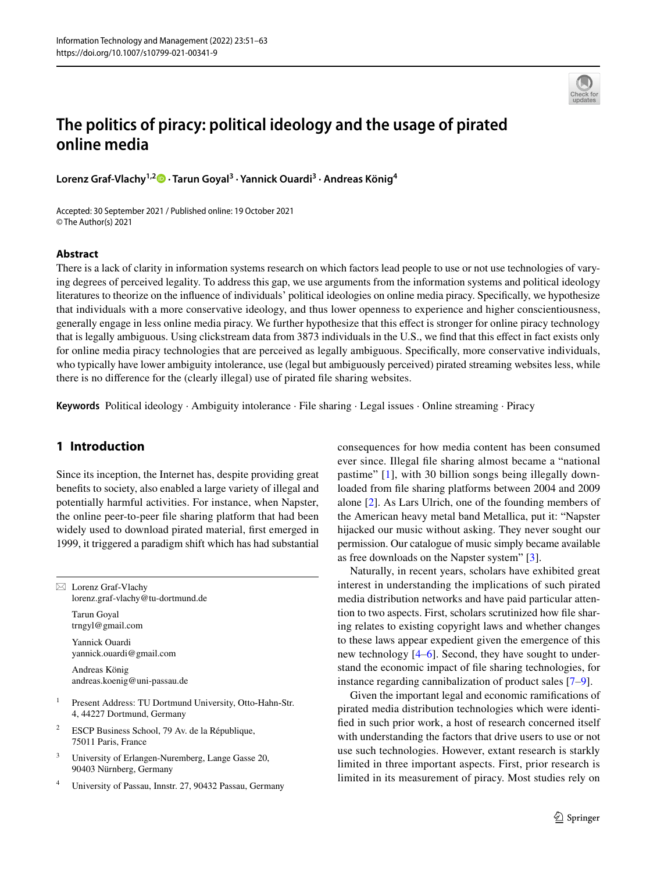

# **The politics of piracy: political ideology and the usage of pirated online media**

**Lorenz Graf‑Vlachy1,2 · Tarun Goyal3 · Yannick Ouardi3 · Andreas König4**

Accepted: 30 September 2021 / Published online: 19 October 2021 © The Author(s) 2021

#### **Abstract**

There is a lack of clarity in information systems research on which factors lead people to use or not use technologies of varying degrees of perceived legality. To address this gap, we use arguments from the information systems and political ideology literatures to theorize on the infuence of individuals' political ideologies on online media piracy. Specifcally, we hypothesize that individuals with a more conservative ideology, and thus lower openness to experience and higher conscientiousness, generally engage in less online media piracy. We further hypothesize that this efect is stronger for online piracy technology that is legally ambiguous. Using clickstream data from 3873 individuals in the U.S., we fnd that this efect in fact exists only for online media piracy technologies that are perceived as legally ambiguous. Specifcally, more conservative individuals, who typically have lower ambiguity intolerance, use (legal but ambiguously perceived) pirated streaming websites less, while there is no diference for the (clearly illegal) use of pirated fle sharing websites.

**Keywords** Political ideology · Ambiguity intolerance · File sharing · Legal issues · Online streaming · Piracy

## **1 Introduction**

Since its inception, the Internet has, despite providing great benefts to society, also enabled a large variety of illegal and potentially harmful activities. For instance, when Napster, the online peer-to-peer fle sharing platform that had been widely used to download pirated material, frst emerged in 1999, it triggered a paradigm shift which has had substantial

 $\boxtimes$  Lorenz Graf-Vlachy lorenz.graf-vlachy@tu-dortmund.de

> Tarun Goyal trngyl@gmail.com

Yannick Ouardi yannick.ouardi@gmail.com

Andreas König andreas.koenig@uni-passau.de

- <sup>1</sup> Present Address: TU Dortmund University, Otto-Hahn-Str. 4, 44227 Dortmund, Germany
- <sup>2</sup> ESCP Business School, 79 Av. de la République, 75011 Paris, France
- <sup>3</sup> University of Erlangen-Nuremberg, Lange Gasse 20, 90403 Nürnberg, Germany
- <sup>4</sup> University of Passau, Innstr. 27, 90432 Passau, Germany

consequences for how media content has been consumed ever since. Illegal fle sharing almost became a "national pastime" [\[1\]](#page-10-0), with 30 billion songs being illegally downloaded from fle sharing platforms between 2004 and 2009 alone [\[2](#page-10-1)]. As Lars Ulrich, one of the founding members of the American heavy metal band Metallica, put it: "Napster hijacked our music without asking. They never sought our permission. Our catalogue of music simply became available as free downloads on the Napster system" [\[3](#page-10-2)].

Naturally, in recent years, scholars have exhibited great interest in understanding the implications of such pirated media distribution networks and have paid particular attention to two aspects. First, scholars scrutinized how fle sharing relates to existing copyright laws and whether changes to these laws appear expedient given the emergence of this new technology [[4](#page-10-3)–[6\]](#page-10-4). Second, they have sought to understand the economic impact of fle sharing technologies, for instance regarding cannibalization of product sales [[7](#page-10-5)–[9\]](#page-10-6).

Given the important legal and economic ramifcations of pirated media distribution technologies which were identifed in such prior work, a host of research concerned itself with understanding the factors that drive users to use or not use such technologies. However, extant research is starkly limited in three important aspects. First, prior research is limited in its measurement of piracy. Most studies rely on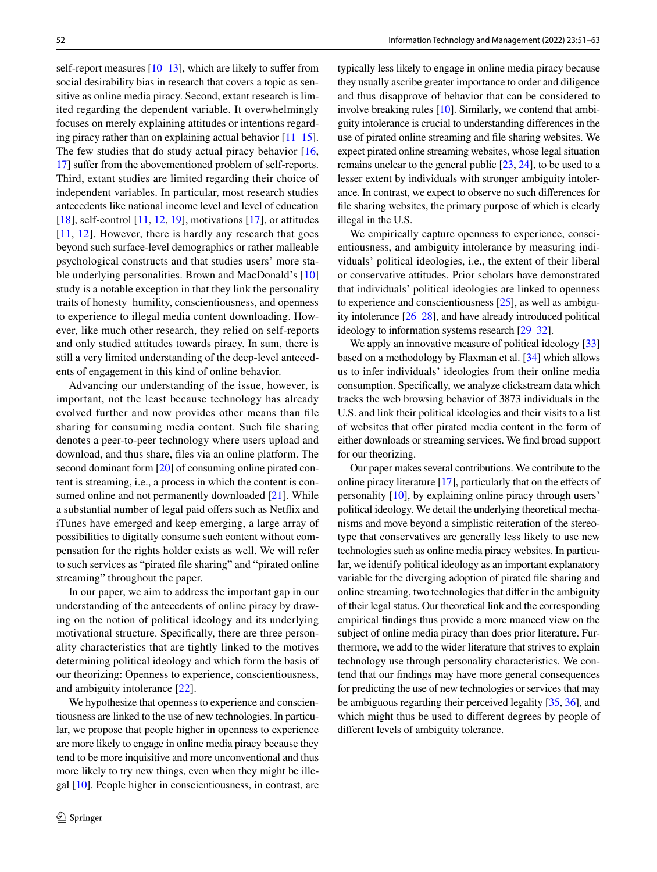self-report measures  $[10-13]$  $[10-13]$  $[10-13]$  $[10-13]$ , which are likely to suffer from social desirability bias in research that covers a topic as sensitive as online media piracy. Second, extant research is limited regarding the dependent variable. It overwhelmingly focuses on merely explaining attitudes or intentions regarding piracy rather than on explaining actual behavior  $[11–15]$  $[11–15]$  $[11–15]$  $[11–15]$  $[11–15]$ . The few studies that do study actual piracy behavior [\[16,](#page-10-11) [17\]](#page-10-12) sufer from the abovementioned problem of self-reports. Third, extant studies are limited regarding their choice of independent variables. In particular, most research studies antecedents like national income level and level of education [\[18](#page-10-13)], self-control [[11,](#page-10-9) [12,](#page-10-14) [19\]](#page-10-15), motivations [[17](#page-10-12)], or attitudes [[11,](#page-10-9) [12\]](#page-10-14). However, there is hardly any research that goes beyond such surface-level demographics or rather malleable psychological constructs and that studies users' more sta-ble underlying personalities. Brown and MacDonald's [[10\]](#page-10-7) study is a notable exception in that they link the personality traits of honesty–humility, conscientiousness, and openness to experience to illegal media content downloading. However, like much other research, they relied on self-reports and only studied attitudes towards piracy. In sum, there is still a very limited understanding of the deep-level antecedents of engagement in this kind of online behavior.

Advancing our understanding of the issue, however, is important, not the least because technology has already evolved further and now provides other means than fle sharing for consuming media content. Such fle sharing denotes a peer-to-peer technology where users upload and download, and thus share, fles via an online platform. The second dominant form [\[20](#page-10-16)] of consuming online pirated content is streaming, i.e., a process in which the content is con-sumed online and not permanently downloaded [\[21](#page-10-17)]. While a substantial number of legal paid offers such as Netflix and iTunes have emerged and keep emerging, a large array of possibilities to digitally consume such content without compensation for the rights holder exists as well. We will refer to such services as "pirated fle sharing" and "pirated online streaming" throughout the paper.

In our paper, we aim to address the important gap in our understanding of the antecedents of online piracy by drawing on the notion of political ideology and its underlying motivational structure. Specifcally, there are three personality characteristics that are tightly linked to the motives determining political ideology and which form the basis of our theorizing: Openness to experience, conscientiousness, and ambiguity intolerance [\[22](#page-10-18)].

We hypothesize that openness to experience and conscientiousness are linked to the use of new technologies. In particular, we propose that people higher in openness to experience are more likely to engage in online media piracy because they tend to be more inquisitive and more unconventional and thus more likely to try new things, even when they might be illegal [[10\]](#page-10-7). People higher in conscientiousness, in contrast, are typically less likely to engage in online media piracy because they usually ascribe greater importance to order and diligence and thus disapprove of behavior that can be considered to involve breaking rules [[10](#page-10-7)]. Similarly, we contend that ambiguity intolerance is crucial to understanding diferences in the use of pirated online streaming and fle sharing websites. We expect pirated online streaming websites, whose legal situation remains unclear to the general public [[23,](#page-10-19) [24](#page-10-20)], to be used to a lesser extent by individuals with stronger ambiguity intolerance. In contrast, we expect to observe no such diferences for fle sharing websites, the primary purpose of which is clearly illegal in the U.S.

We empirically capture openness to experience, conscientiousness, and ambiguity intolerance by measuring individuals' political ideologies, i.e., the extent of their liberal or conservative attitudes. Prior scholars have demonstrated that individuals' political ideologies are linked to openness to experience and conscientiousness [\[25](#page-10-21)], as well as ambiguity intolerance [[26](#page-10-22)–[28](#page-10-23)], and have already introduced political ideology to information systems research [\[29](#page-10-24)–[32\]](#page-10-25).

We apply an innovative measure of political ideology [\[33\]](#page-10-26) based on a methodology by Flaxman et al. [\[34](#page-10-27)] which allows us to infer individuals' ideologies from their online media consumption. Specifcally, we analyze clickstream data which tracks the web browsing behavior of 3873 individuals in the U.S. and link their political ideologies and their visits to a list of websites that offer pirated media content in the form of either downloads or streaming services. We fnd broad support for our theorizing.

Our paper makes several contributions. We contribute to the online piracy literature [\[17\]](#page-10-12), particularly that on the efects of personality [\[10](#page-10-7)], by explaining online piracy through users' political ideology. We detail the underlying theoretical mechanisms and move beyond a simplistic reiteration of the stereotype that conservatives are generally less likely to use new technologies such as online media piracy websites. In particular, we identify political ideology as an important explanatory variable for the diverging adoption of pirated fle sharing and online streaming, two technologies that difer in the ambiguity of their legal status. Our theoretical link and the corresponding empirical fndings thus provide a more nuanced view on the subject of online media piracy than does prior literature. Furthermore, we add to the wider literature that strives to explain technology use through personality characteristics. We contend that our fndings may have more general consequences for predicting the use of new technologies or services that may be ambiguous regarding their perceived legality [[35,](#page-11-0) [36](#page-11-1)], and which might thus be used to diferent degrees by people of diferent levels of ambiguity tolerance.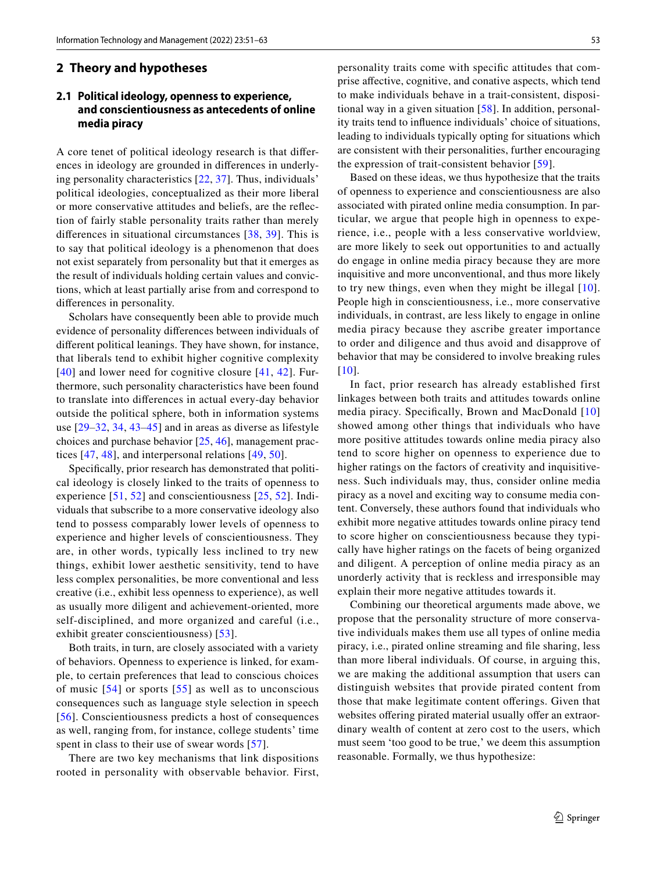#### **2 Theory and hypotheses**

#### **2.1 Political ideology, openness to experience, and conscientiousness as antecedents of online media piracy**

A core tenet of political ideology research is that diferences in ideology are grounded in diferences in underlying personality characteristics [[22](#page-10-18), [37\]](#page-11-2). Thus, individuals' political ideologies, conceptualized as their more liberal or more conservative attitudes and beliefs, are the refection of fairly stable personality traits rather than merely diferences in situational circumstances [[38](#page-11-3), [39](#page-11-4)]. This is to say that political ideology is a phenomenon that does not exist separately from personality but that it emerges as the result of individuals holding certain values and convictions, which at least partially arise from and correspond to diferences in personality.

Scholars have consequently been able to provide much evidence of personality diferences between individuals of diferent political leanings. They have shown, for instance, that liberals tend to exhibit higher cognitive complexity [[40](#page-11-5)] and lower need for cognitive closure [[41,](#page-11-6) [42\]](#page-11-7). Furthermore, such personality characteristics have been found to translate into diferences in actual every-day behavior outside the political sphere, both in information systems use [[29](#page-10-24)–[32,](#page-10-25) [34](#page-10-27), [43](#page-11-8)–[45](#page-11-9)] and in areas as diverse as lifestyle choices and purchase behavior [\[25,](#page-10-21) [46\]](#page-11-10), management practices [\[47,](#page-11-11) [48](#page-11-12)], and interpersonal relations [\[49,](#page-11-13) [50](#page-11-14)].

Specifcally, prior research has demonstrated that political ideology is closely linked to the traits of openness to experience [\[51,](#page-11-15) [52\]](#page-11-16) and conscientiousness [[25](#page-10-21), [52\]](#page-11-16). Individuals that subscribe to a more conservative ideology also tend to possess comparably lower levels of openness to experience and higher levels of conscientiousness. They are, in other words, typically less inclined to try new things, exhibit lower aesthetic sensitivity, tend to have less complex personalities, be more conventional and less creative (i.e., exhibit less openness to experience), as well as usually more diligent and achievement-oriented, more self-disciplined, and more organized and careful (i.e., exhibit greater conscientiousness) [[53](#page-11-17)].

Both traits, in turn, are closely associated with a variety of behaviors. Openness to experience is linked, for example, to certain preferences that lead to conscious choices of music [[54\]](#page-11-18) or sports [[55](#page-11-19)] as well as to unconscious consequences such as language style selection in speech [[56](#page-11-20)]. Conscientiousness predicts a host of consequences as well, ranging from, for instance, college students' time spent in class to their use of swear words [[57\]](#page-11-21).

There are two key mechanisms that link dispositions rooted in personality with observable behavior. First,

personality traits come with specifc attitudes that comprise afective, cognitive, and conative aspects, which tend to make individuals behave in a trait-consistent, dispositional way in a given situation [\[58\]](#page-11-22). In addition, personality traits tend to infuence individuals' choice of situations, leading to individuals typically opting for situations which are consistent with their personalities, further encouraging the expression of trait-consistent behavior [[59](#page-11-23)].

Based on these ideas, we thus hypothesize that the traits of openness to experience and conscientiousness are also associated with pirated online media consumption. In particular, we argue that people high in openness to experience, i.e., people with a less conservative worldview, are more likely to seek out opportunities to and actually do engage in online media piracy because they are more inquisitive and more unconventional, and thus more likely to try new things, even when they might be illegal [[10](#page-10-7)]. People high in conscientiousness, i.e., more conservative individuals, in contrast, are less likely to engage in online media piracy because they ascribe greater importance to order and diligence and thus avoid and disapprove of behavior that may be considered to involve breaking rules  $[10]$  $[10]$  $[10]$ .

In fact, prior research has already established first linkages between both traits and attitudes towards online media piracy. Specifcally, Brown and MacDonald [[10\]](#page-10-7) showed among other things that individuals who have more positive attitudes towards online media piracy also tend to score higher on openness to experience due to higher ratings on the factors of creativity and inquisitiveness. Such individuals may, thus, consider online media piracy as a novel and exciting way to consume media content. Conversely, these authors found that individuals who exhibit more negative attitudes towards online piracy tend to score higher on conscientiousness because they typically have higher ratings on the facets of being organized and diligent. A perception of online media piracy as an unorderly activity that is reckless and irresponsible may explain their more negative attitudes towards it.

Combining our theoretical arguments made above, we propose that the personality structure of more conservative individuals makes them use all types of online media piracy, i.e., pirated online streaming and fle sharing, less than more liberal individuals. Of course, in arguing this, we are making the additional assumption that users can distinguish websites that provide pirated content from those that make legitimate content oferings. Given that websites offering pirated material usually offer an extraordinary wealth of content at zero cost to the users, which must seem 'too good to be true,' we deem this assumption reasonable. Formally, we thus hypothesize: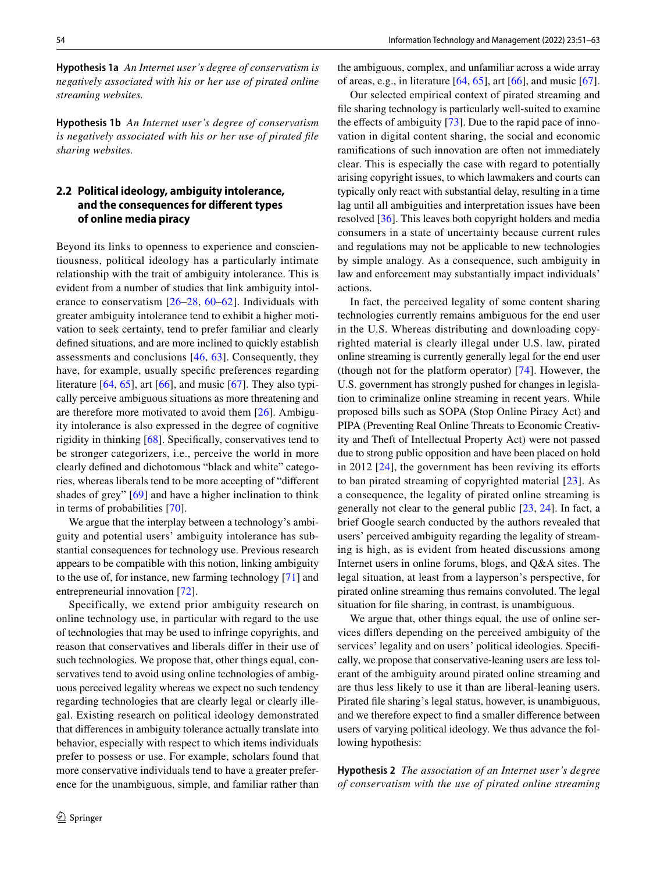**Hypothesis 1a** *An Internet user's degree of conservatism is negatively associated with his or her use of pirated online streaming websites.*

**Hypothesis 1b** *An Internet user's degree of conservatism is negatively associated with his or her use of pirated fle sharing websites.*

### **2.2 Political ideology, ambiguity intolerance, and the consequences for diferent types of online media piracy**

Beyond its links to openness to experience and conscientiousness, political ideology has a particularly intimate relationship with the trait of ambiguity intolerance. This is evident from a number of studies that link ambiguity intolerance to conservatism [[26](#page-10-22)–[28,](#page-10-23) [60](#page-11-24)–[62](#page-11-25)]. Individuals with greater ambiguity intolerance tend to exhibit a higher motivation to seek certainty, tend to prefer familiar and clearly defned situations, and are more inclined to quickly establish assessments and conclusions [[46](#page-11-10), [63\]](#page-11-26). Consequently, they have, for example, usually specifc preferences regarding literature  $[64, 65]$  $[64, 65]$  $[64, 65]$ , art  $[66]$  $[66]$  $[66]$ , and music  $[67]$  $[67]$ . They also typically perceive ambiguous situations as more threatening and are therefore more motivated to avoid them [[26](#page-10-22)]. Ambiguity intolerance is also expressed in the degree of cognitive rigidity in thinking [[68\]](#page-11-31). Specifcally, conservatives tend to be stronger categorizers, i.e., perceive the world in more clearly defned and dichotomous "black and white" categories, whereas liberals tend to be more accepting of "diferent shades of grey" [[69\]](#page-11-32) and have a higher inclination to think in terms of probabilities [[70\]](#page-11-33).

We argue that the interplay between a technology's ambiguity and potential users' ambiguity intolerance has substantial consequences for technology use. Previous research appears to be compatible with this notion, linking ambiguity to the use of, for instance, new farming technology [[71\]](#page-11-34) and entrepreneurial innovation [[72\]](#page-11-35).

Specifically, we extend prior ambiguity research on online technology use, in particular with regard to the use of technologies that may be used to infringe copyrights, and reason that conservatives and liberals difer in their use of such technologies. We propose that, other things equal, conservatives tend to avoid using online technologies of ambiguous perceived legality whereas we expect no such tendency regarding technologies that are clearly legal or clearly illegal. Existing research on political ideology demonstrated that diferences in ambiguity tolerance actually translate into behavior, especially with respect to which items individuals prefer to possess or use. For example, scholars found that more conservative individuals tend to have a greater preference for the unambiguous, simple, and familiar rather than the ambiguous, complex, and unfamiliar across a wide array of areas, e.g., in literature  $[64, 65]$  $[64, 65]$  $[64, 65]$  $[64, 65]$ , art  $[66]$  $[66]$ , and music  $[67]$  $[67]$ .

Our selected empirical context of pirated streaming and fle sharing technology is particularly well-suited to examine the effects of ambiguity  $[73]$  $[73]$ . Due to the rapid pace of innovation in digital content sharing, the social and economic ramifcations of such innovation are often not immediately clear. This is especially the case with regard to potentially arising copyright issues, to which lawmakers and courts can typically only react with substantial delay, resulting in a time lag until all ambiguities and interpretation issues have been resolved [\[36](#page-11-1)]. This leaves both copyright holders and media consumers in a state of uncertainty because current rules and regulations may not be applicable to new technologies by simple analogy. As a consequence, such ambiguity in law and enforcement may substantially impact individuals' actions.

In fact, the perceived legality of some content sharing technologies currently remains ambiguous for the end user in the U.S. Whereas distributing and downloading copyrighted material is clearly illegal under U.S. law, pirated online streaming is currently generally legal for the end user (though not for the platform operator) [\[74\]](#page-11-37). However, the U.S. government has strongly pushed for changes in legislation to criminalize online streaming in recent years. While proposed bills such as SOPA (Stop Online Piracy Act) and PIPA (Preventing Real Online Threats to Economic Creativity and Theft of Intellectual Property Act) were not passed due to strong public opposition and have been placed on hold in 2012  $[24]$  $[24]$ , the government has been reviving its efforts to ban pirated streaming of copyrighted material [[23](#page-10-19)]. As a consequence, the legality of pirated online streaming is generally not clear to the general public [\[23](#page-10-19), [24\]](#page-10-20). In fact, a brief Google search conducted by the authors revealed that users' perceived ambiguity regarding the legality of streaming is high, as is evident from heated discussions among Internet users in online forums, blogs, and Q&A sites. The legal situation, at least from a layperson's perspective, for pirated online streaming thus remains convoluted. The legal situation for fle sharing, in contrast, is unambiguous.

We argue that, other things equal, the use of online services difers depending on the perceived ambiguity of the services' legality and on users' political ideologies. Specifcally, we propose that conservative-leaning users are less tolerant of the ambiguity around pirated online streaming and are thus less likely to use it than are liberal-leaning users. Pirated fle sharing's legal status, however, is unambiguous, and we therefore expect to fnd a smaller diference between users of varying political ideology. We thus advance the following hypothesis:

**Hypothesis 2** *The association of an Internet user's degree of conservatism with the use of pirated online streaming*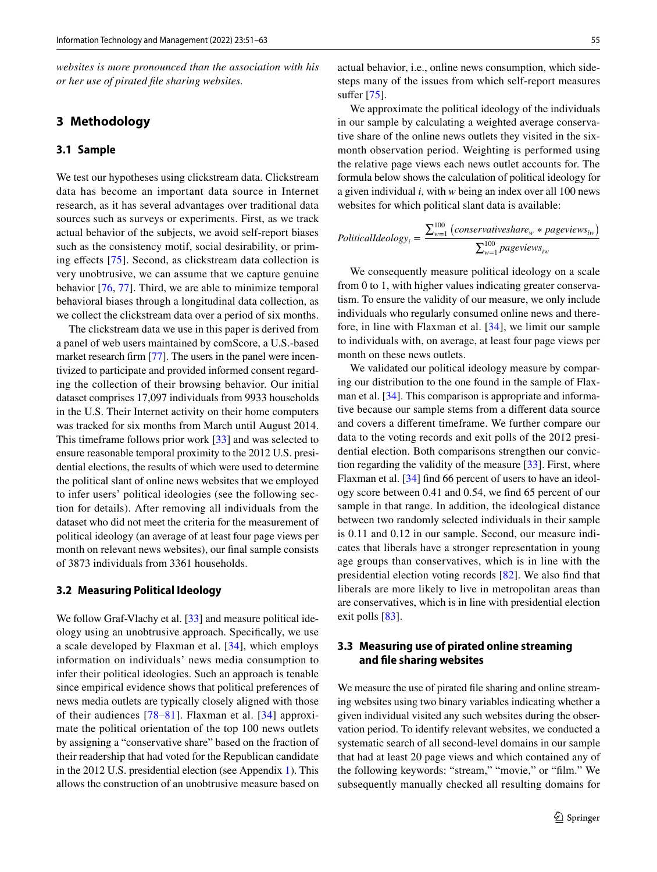*websites is more pronounced than the association with his or her use of pirated fle sharing websites.*

#### **3 Methodology**

#### **3.1 Sample**

We test our hypotheses using clickstream data. Clickstream data has become an important data source in Internet research, as it has several advantages over traditional data sources such as surveys or experiments. First, as we track actual behavior of the subjects, we avoid self-report biases such as the consistency motif, social desirability, or prim-ing effects [[75\]](#page-11-38). Second, as clickstream data collection is very unobtrusive, we can assume that we capture genuine behavior [\[76](#page-11-39), [77](#page-11-40)]. Third, we are able to minimize temporal behavioral biases through a longitudinal data collection, as we collect the clickstream data over a period of six months.

The clickstream data we use in this paper is derived from a panel of web users maintained by comScore, a U.S.-based market research firm [\[77](#page-11-40)]. The users in the panel were incentivized to participate and provided informed consent regarding the collection of their browsing behavior. Our initial dataset comprises 17,097 individuals from 9933 households in the U.S. Their Internet activity on their home computers was tracked for six months from March until August 2014. This timeframe follows prior work [[33\]](#page-10-26) and was selected to ensure reasonable temporal proximity to the 2012 U.S. presidential elections, the results of which were used to determine the political slant of online news websites that we employed to infer users' political ideologies (see the following section for details). After removing all individuals from the dataset who did not meet the criteria for the measurement of political ideology (an average of at least four page views per month on relevant news websites), our fnal sample consists of 3873 individuals from 3361 households.

#### **3.2 Measuring Political Ideology**

We follow Graf-Vlachy et al. [[33\]](#page-10-26) and measure political ideology using an unobtrusive approach. Specifcally, we use a scale developed by Flaxman et al. [[34](#page-10-27)], which employs information on individuals' news media consumption to infer their political ideologies. Such an approach is tenable since empirical evidence shows that political preferences of news media outlets are typically closely aligned with those of their audiences [[78](#page-11-41)–[81\]](#page-11-42). Flaxman et al. [[34](#page-10-27)] approximate the political orientation of the top 100 news outlets by assigning a "conservative share" based on the fraction of their readership that had voted for the Republican candidate in the 2012 U.S. presidential election (see Appendix [1](#page-8-0)). This allows the construction of an unobtrusive measure based on actual behavior, i.e., online news consumption, which sidesteps many of the issues from which self-report measures suffer [[75](#page-11-38)].

We approximate the political ideology of the individuals in our sample by calculating a weighted average conservative share of the online news outlets they visited in the sixmonth observation period. Weighting is performed using the relative page views each news outlet accounts for. The formula below shows the calculation of political ideology for a given individual *i*, with *w* being an index over all 100 news websites for which political slant data is available:

$$
Political Ideology_i = \frac{\sum_{w=1}^{100} (conservative share_w * pageviews_{iw})}{\sum_{w=1}^{100} pageviews_{iw}}
$$

We consequently measure political ideology on a scale from 0 to 1, with higher values indicating greater conservatism. To ensure the validity of our measure, we only include individuals who regularly consumed online news and therefore, in line with Flaxman et al. [[34](#page-10-27)], we limit our sample to individuals with, on average, at least four page views per month on these news outlets.

We validated our political ideology measure by comparing our distribution to the one found in the sample of Flaxman et al. [[34\]](#page-10-27). This comparison is appropriate and informative because our sample stems from a diferent data source and covers a diferent timeframe. We further compare our data to the voting records and exit polls of the 2012 presidential election. Both comparisons strengthen our conviction regarding the validity of the measure [[33](#page-10-26)]. First, where Flaxman et al. [\[34](#page-10-27)] find 66 percent of users to have an ideology score between 0.41 and 0.54, we fnd 65 percent of our sample in that range. In addition, the ideological distance between two randomly selected individuals in their sample is 0.11 and 0.12 in our sample. Second, our measure indicates that liberals have a stronger representation in young age groups than conservatives, which is in line with the presidential election voting records [[82](#page-11-43)]. We also fnd that liberals are more likely to live in metropolitan areas than are conservatives, which is in line with presidential election exit polls [\[83](#page-12-0)].

#### **3.3 Measuring use of pirated online streaming and fle sharing websites**

We measure the use of pirated fle sharing and online streaming websites using two binary variables indicating whether a given individual visited any such websites during the observation period. To identify relevant websites, we conducted a systematic search of all second-level domains in our sample that had at least 20 page views and which contained any of the following keywords: "stream," "movie," or "flm." We subsequently manually checked all resulting domains for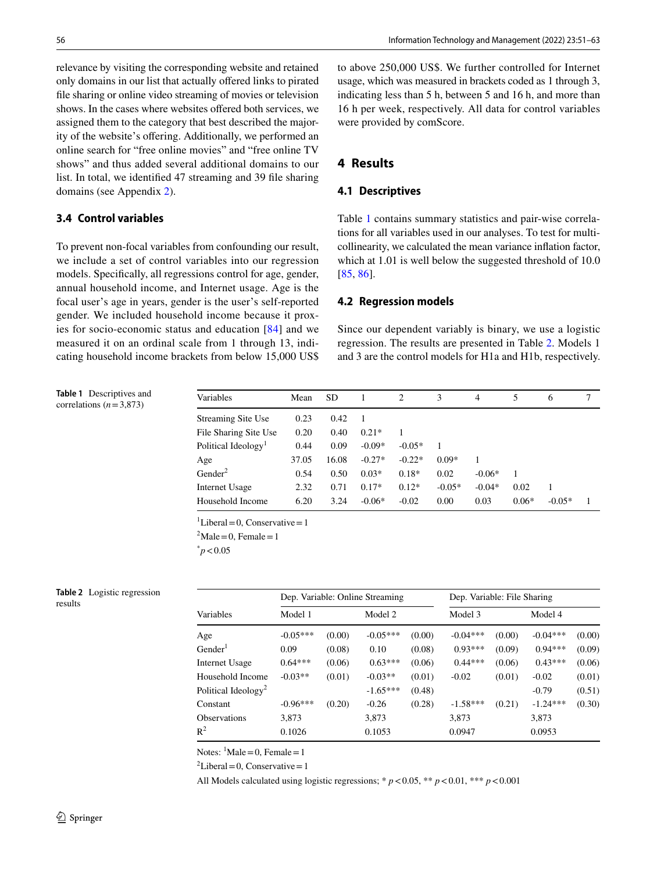relevance by visiting the corresponding website and retained only domains in our list that actually ofered links to pirated fle sharing or online video streaming of movies or television shows. In the cases where websites ofered both services, we assigned them to the category that best described the majority of the website's offering. Additionally, we performed an online search for "free online movies" and "free online TV shows" and thus added several additional domains to our list. In total, we identifed 47 streaming and 39 fle sharing domains (see Appendix [2\)](#page-9-0).

#### **3.4 Control variables**

To prevent non-focal variables from confounding our result, we include a set of control variables into our regression models. Specifcally, all regressions control for age, gender, annual household income, and Internet usage. Age is the focal user's age in years, gender is the user's self-reported gender. We included household income because it proxies for socio-economic status and education [\[84\]](#page-12-1) and we measured it on an ordinal scale from 1 through 13, indicating household income brackets from below 15,000 US\$ to above 250,000 US\$. We further controlled for Internet usage, which was measured in brackets coded as 1 through 3, indicating less than 5 h, between 5 and 16 h, and more than 16 h per week, respectively. All data for control variables were provided by comScore.

#### **4 Results**

#### **4.1 Descriptives**

Table [1](#page-5-0) contains summary statistics and pair-wise correlations for all variables used in our analyses. To test for multicollinearity, we calculated the mean variance infation factor, which at 1.01 is well below the suggested threshold of 10.0 [[85,](#page-12-2) [86\]](#page-12-3).

#### **4.2 Regression models**

Since our dependent variably is binary, we use a logistic regression. The results are presented in Table [2](#page-5-1). Models 1 and 3 are the control models for H1a and H1b, respectively.

<span id="page-5-0"></span>**Table 1** Descriptives and correlations  $(n=3,873)$ 

| Variables                       | Mean  | <b>SD</b> |          | 2        | 3        | 4        | 5       | 6        |  |
|---------------------------------|-------|-----------|----------|----------|----------|----------|---------|----------|--|
| <b>Streaming Site Use</b>       | 0.23  | 0.42      |          |          |          |          |         |          |  |
| File Sharing Site Use           | 0.20  | 0.40      | $0.21*$  | 1        |          |          |         |          |  |
| Political Ideology <sup>1</sup> | 0.44  | 0.09      | $-0.09*$ | $-0.05*$ |          |          |         |          |  |
| Age                             | 37.05 | 16.08     | $-0.27*$ | $-0.22*$ | $0.09*$  |          |         |          |  |
| Gender <sup>2</sup>             | 0.54  | 0.50      | $0.03*$  | $0.18*$  | 0.02     | $-0.06*$ |         |          |  |
| Internet Usage                  | 2.32  | 0.71      | $0.17*$  | $0.12*$  | $-0.05*$ | $-0.04*$ | 0.02    | 1        |  |
| Household Income                | 6.20  | 3.24      | $-0.06*$ | $-0.02$  | 0.00     | 0.03     | $0.06*$ | $-0.05*$ |  |

 ${}^{1}$ Liberal = 0, Conservative = 1

 ${}^{2}$ Male = 0, Female = 1

 $p$  < 0.05

#### <span id="page-5-1"></span>**Table 2** Logistic regression results

|                                 | Dep. Variable: Online Streaming |        |            |        | Dep. Variable: File Sharing |        |            |        |
|---------------------------------|---------------------------------|--------|------------|--------|-----------------------------|--------|------------|--------|
| Variables                       | Model 1                         |        | Model 2    |        | Model 3                     |        | Model 4    |        |
| Age                             | $-0.05***$                      | (0.00) | $-0.05***$ | (0.00) | $-0.04***$                  | (0.00) | $-0.04***$ | (0.00) |
| Gender <sup>1</sup>             | 0.09                            | (0.08) | 0.10       | (0.08) | $0.93***$                   | (0.09) | $0.94***$  | (0.09) |
| Internet Usage                  | $0.64***$                       | (0.06) | $0.63***$  | (0.06) | $0.44***$                   | (0.06) | $0.43***$  | (0.06) |
| Household Income                | $-0.03**$                       | (0.01) | $-0.03**$  | (0.01) | $-0.02$                     | (0.01) | $-0.02$    | (0.01) |
| Political Ideology <sup>2</sup> |                                 |        | $-1.65***$ | (0.48) |                             |        | $-0.79$    | (0.51) |
| Constant                        | $-0.96***$                      | (0.20) | $-0.26$    | (0.28) | $-1.58***$                  | (0.21) | $-1.24***$ | (0.30) |
| <b>Observations</b>             | 3,873                           |        | 3,873      |        | 3,873                       |        | 3,873      |        |
| $\mathbb{R}^2$                  | 0.1026                          |        | 0.1053     |        | 0.0947                      |        | 0.0953     |        |

Notes:  $^1$ Male = 0, Female = 1

 ${}^{2}$ Liberal = 0, Conservative = 1

All Models calculated using logistic regressions;  $* p < 0.05$ ,  $** p < 0.01$ ,  $** p < 0.001$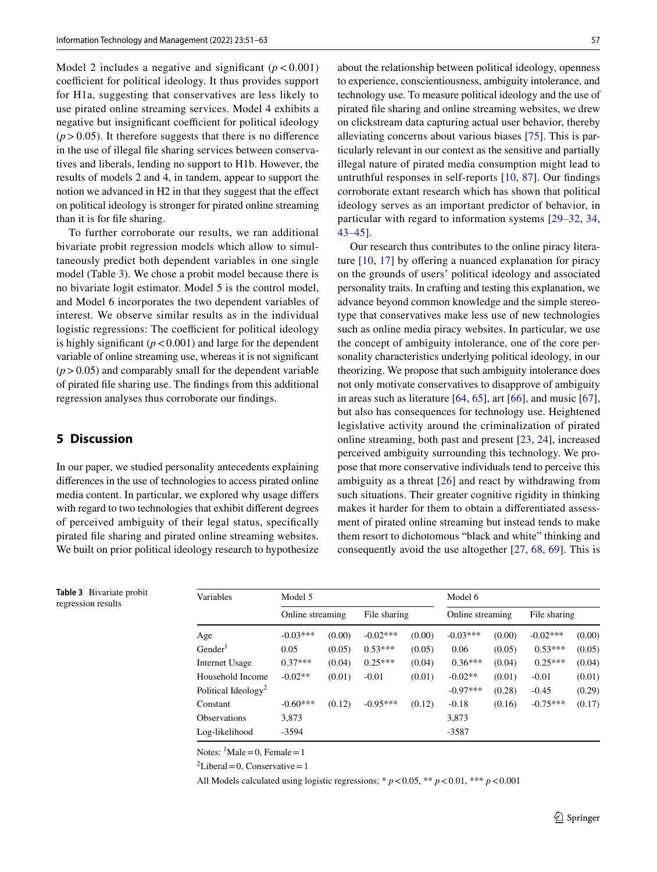Model 2 includes a negative and significant  $(p < 0.001)$ coefficient for political ideology. It thus provides support for H1a, suggesting that conservatives are less likely to use pirated online streaming services. Model 4 exhibits a negative but insignificant coefficient for political ideology  $(p > 0.05)$ . It therefore suggests that there is no difference in the use of illegal fle sharing services between conservatives and liberals, lending no support to H1b. However, the results of models 2 and 4, in tandem, appear to support the notion we advanced in H2 in that they suggest that the efect on political ideology is stronger for pirated online streaming than it is for fle sharing.

To further corroborate our results, we ran additional bivariate probit regression models which allow to simultaneously predict both dependent variables in one single model (Table [3\)](#page-6-0). We chose a probit model because there is no bivariate logit estimator. Model 5 is the control model, and Model 6 incorporates the two dependent variables of interest. We observe similar results as in the individual logistic regressions: The coefficient for political ideology is highly significant  $(p < 0.001)$  and large for the dependent variable of online streaming use, whereas it is not signifcant  $(p > 0.05)$  and comparably small for the dependent variable of pirated fle sharing use. The fndings from this additional regression analyses thus corroborate our fndings.

#### **5 Discussion**

<span id="page-6-0"></span>**Table 3** Bivariate probit regression results

In our paper, we studied personality antecedents explaining diferences in the use of technologies to access pirated online media content. In particular, we explored why usage difers with regard to two technologies that exhibit diferent degrees of perceived ambiguity of their legal status, specifcally pirated fle sharing and pirated online streaming websites. We built on prior political ideology research to hypothesize about the relationship between political ideology, openness to experience, conscientiousness, ambiguity intolerance, and technology use. To measure political ideology and the use of pirated fle sharing and online streaming websites, we drew on clickstream data capturing actual user behavior, thereby alleviating concerns about various biases [\[75](#page-11-38)]. This is particularly relevant in our context as the sensitive and partially illegal nature of pirated media consumption might lead to untruthful responses in self-reports [[10,](#page-10-7) [87\]](#page-12-4). Our fndings corroborate extant research which has shown that political ideology serves as an important predictor of behavior, in particular with regard to information systems [\[29](#page-10-24)–[32,](#page-10-25) [34,](#page-10-27) [43](#page-11-8)–[45](#page-11-9)].

Our research thus contributes to the online piracy literature  $[10, 17]$  $[10, 17]$  $[10, 17]$  $[10, 17]$  by offering a nuanced explanation for piracy on the grounds of users' political ideology and associated personality traits. In crafting and testing this explanation, we advance beyond common knowledge and the simple stereotype that conservatives make less use of new technologies such as online media piracy websites. In particular, we use the concept of ambiguity intolerance, one of the core personality characteristics underlying political ideology, in our theorizing. We propose that such ambiguity intolerance does not only motivate conservatives to disapprove of ambiguity in areas such as literature  $[64, 65]$  $[64, 65]$  $[64, 65]$  $[64, 65]$ , art  $[66]$  $[66]$ , and music  $[67]$  $[67]$ , but also has consequences for technology use. Heightened legislative activity around the criminalization of pirated online streaming, both past and present [[23,](#page-10-19) [24](#page-10-20)], increased perceived ambiguity surrounding this technology. We propose that more conservative individuals tend to perceive this ambiguity as a threat [[26\]](#page-10-22) and react by withdrawing from such situations. Their greater cognitive rigidity in thinking makes it harder for them to obtain a diferentiated assessment of pirated online streaming but instead tends to make them resort to dichotomous "black and white" thinking and consequently avoid the use altogether [\[27](#page-10-28), [68](#page-11-31), [69\]](#page-11-32). This is

| Variables                       | Model 5          |        |              | Model 6 |                  |        |              |        |
|---------------------------------|------------------|--------|--------------|---------|------------------|--------|--------------|--------|
|                                 | Online streaming |        | File sharing |         | Online streaming |        | File sharing |        |
| Age                             | $-0.03***$       | (0.00) | $-0.02***$   | (0.00)  | $-0.03***$       | (0.00) | $-0.02***$   | (0.00) |
| Gender <sup>1</sup>             | 0.05             | (0.05) | $0.53***$    | (0.05)  | 0.06             | (0.05) | $0.53***$    | (0.05) |
| Internet Usage                  | $0.37***$        | (0.04) | $0.25***$    | (0.04)  | $0.36***$        | (0.04) | $0.25***$    | (0.04) |
| Household Income                | $-0.02**$        | (0.01) | $-0.01$      | (0.01)  | $-0.02**$        | (0.01) | $-0.01$      | (0.01) |
| Political Ideology <sup>2</sup> |                  |        |              |         | $-0.97***$       | (0.28) | $-0.45$      | (0.29) |
| Constant                        | $-0.60***$       | (0.12) | $-0.95***$   | (0.12)  | $-0.18$          | (0.16) | $-0.75***$   | (0.17) |
| <b>Observations</b>             | 3,873            |        |              |         | 3,873            |        |              |        |
| Log-likelihood                  | $-3594$          |        |              |         | $-3587$          |        |              |        |

Notes:  $^1$ Male = 0, Female = 1

 ${}^{2}$ Liberal = 0, Conservative = 1

All Models calculated using logistic regressions; \* *p*<0.05, \*\* *p*<0.01, \*\*\* *p*<0.001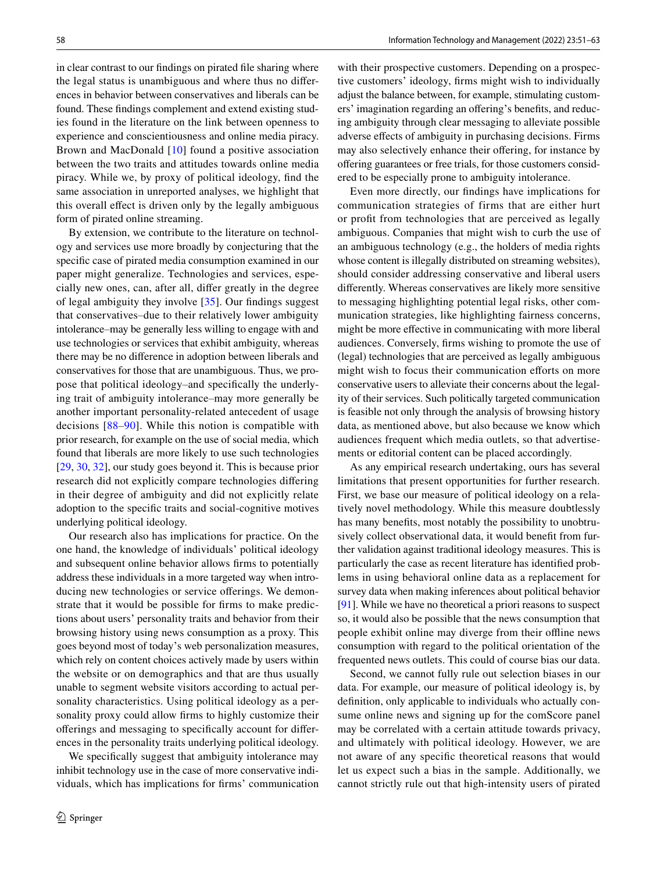in clear contrast to our fndings on pirated fle sharing where the legal status is unambiguous and where thus no diferences in behavior between conservatives and liberals can be found. These fndings complement and extend existing studies found in the literature on the link between openness to experience and conscientiousness and online media piracy. Brown and MacDonald [\[10\]](#page-10-7) found a positive association between the two traits and attitudes towards online media piracy. While we, by proxy of political ideology, fnd the same association in unreported analyses, we highlight that this overall efect is driven only by the legally ambiguous form of pirated online streaming.

By extension, we contribute to the literature on technology and services use more broadly by conjecturing that the specifc case of pirated media consumption examined in our paper might generalize. Technologies and services, especially new ones, can, after all, difer greatly in the degree of legal ambiguity they involve [\[35\]](#page-11-0). Our fndings suggest that conservatives–due to their relatively lower ambiguity intolerance–may be generally less willing to engage with and use technologies or services that exhibit ambiguity, whereas there may be no diference in adoption between liberals and conservatives for those that are unambiguous. Thus, we propose that political ideology–and specifcally the underlying trait of ambiguity intolerance–may more generally be another important personality-related antecedent of usage decisions [[88](#page-12-5)–[90](#page-12-6)]. While this notion is compatible with prior research, for example on the use of social media, which found that liberals are more likely to use such technologies [\[29,](#page-10-24) [30](#page-10-29), [32](#page-10-25)], our study goes beyond it. This is because prior research did not explicitly compare technologies difering in their degree of ambiguity and did not explicitly relate adoption to the specifc traits and social-cognitive motives underlying political ideology.

Our research also has implications for practice. On the one hand, the knowledge of individuals' political ideology and subsequent online behavior allows frms to potentially address these individuals in a more targeted way when introducing new technologies or service offerings. We demonstrate that it would be possible for frms to make predictions about users' personality traits and behavior from their browsing history using news consumption as a proxy. This goes beyond most of today's web personalization measures, which rely on content choices actively made by users within the website or on demographics and that are thus usually unable to segment website visitors according to actual personality characteristics. Using political ideology as a personality proxy could allow frms to highly customize their oferings and messaging to specifcally account for diferences in the personality traits underlying political ideology.

We specifcally suggest that ambiguity intolerance may inhibit technology use in the case of more conservative individuals, which has implications for frms' communication with their prospective customers. Depending on a prospective customers' ideology, frms might wish to individually adjust the balance between, for example, stimulating customers' imagination regarding an offering's benefits, and reducing ambiguity through clear messaging to alleviate possible adverse efects of ambiguity in purchasing decisions. Firms may also selectively enhance their offering, for instance by ofering guarantees or free trials, for those customers considered to be especially prone to ambiguity intolerance.

Even more directly, our fndings have implications for communication strategies of firms that are either hurt or proft from technologies that are perceived as legally ambiguous. Companies that might wish to curb the use of an ambiguous technology (e.g., the holders of media rights whose content is illegally distributed on streaming websites), should consider addressing conservative and liberal users diferently. Whereas conservatives are likely more sensitive to messaging highlighting potential legal risks, other communication strategies, like highlighting fairness concerns, might be more efective in communicating with more liberal audiences. Conversely, frms wishing to promote the use of (legal) technologies that are perceived as legally ambiguous might wish to focus their communication efforts on more conservative users to alleviate their concerns about the legality of their services. Such politically targeted communication is feasible not only through the analysis of browsing history data, as mentioned above, but also because we know which audiences frequent which media outlets, so that advertisements or editorial content can be placed accordingly.

As any empirical research undertaking, ours has several limitations that present opportunities for further research. First, we base our measure of political ideology on a relatively novel methodology. While this measure doubtlessly has many benefts, most notably the possibility to unobtrusively collect observational data, it would beneft from further validation against traditional ideology measures. This is particularly the case as recent literature has identifed problems in using behavioral online data as a replacement for survey data when making inferences about political behavior [\[91](#page-12-7)]. While we have no theoretical a priori reasons to suspect so, it would also be possible that the news consumption that people exhibit online may diverge from their ofine news consumption with regard to the political orientation of the frequented news outlets. This could of course bias our data.

Second, we cannot fully rule out selection biases in our data. For example, our measure of political ideology is, by defnition, only applicable to individuals who actually consume online news and signing up for the comScore panel may be correlated with a certain attitude towards privacy, and ultimately with political ideology. However, we are not aware of any specifc theoretical reasons that would let us expect such a bias in the sample. Additionally, we cannot strictly rule out that high-intensity users of pirated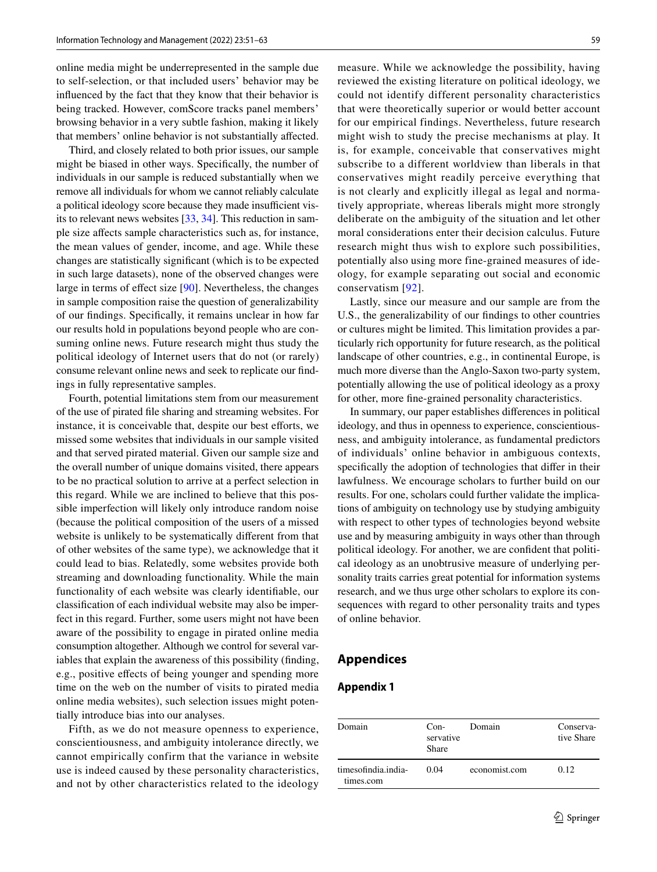online media might be underrepresented in the sample due to self-selection, or that included users' behavior may be infuenced by the fact that they know that their behavior is being tracked. However, comScore tracks panel members' browsing behavior in a very subtle fashion, making it likely that members' online behavior is not substantially afected.

Third, and closely related to both prior issues, our sample might be biased in other ways. Specifcally, the number of individuals in our sample is reduced substantially when we remove all individuals for whom we cannot reliably calculate a political ideology score because they made insufficient visits to relevant news websites [[33,](#page-10-26) [34](#page-10-27)]. This reduction in sample size afects sample characteristics such as, for instance, the mean values of gender, income, and age. While these changes are statistically signifcant (which is to be expected in such large datasets), none of the observed changes were large in terms of efect size [\[90\]](#page-12-6). Nevertheless, the changes in sample composition raise the question of generalizability of our fndings. Specifcally, it remains unclear in how far our results hold in populations beyond people who are consuming online news. Future research might thus study the political ideology of Internet users that do not (or rarely) consume relevant online news and seek to replicate our fndings in fully representative samples.

Fourth, potential limitations stem from our measurement of the use of pirated fle sharing and streaming websites. For instance, it is conceivable that, despite our best efforts, we missed some websites that individuals in our sample visited and that served pirated material. Given our sample size and the overall number of unique domains visited, there appears to be no practical solution to arrive at a perfect selection in this regard. While we are inclined to believe that this possible imperfection will likely only introduce random noise (because the political composition of the users of a missed website is unlikely to be systematically diferent from that of other websites of the same type), we acknowledge that it could lead to bias. Relatedly, some websites provide both streaming and downloading functionality. While the main functionality of each website was clearly identifable, our classifcation of each individual website may also be imperfect in this regard. Further, some users might not have been aware of the possibility to engage in pirated online media consumption altogether. Although we control for several variables that explain the awareness of this possibility (fnding, e.g., positive efects of being younger and spending more time on the web on the number of visits to pirated media online media websites), such selection issues might potentially introduce bias into our analyses.

Fifth, as we do not measure openness to experience, conscientiousness, and ambiguity intolerance directly, we cannot empirically confirm that the variance in website use is indeed caused by these personality characteristics, and not by other characteristics related to the ideology

measure. While we acknowledge the possibility, having reviewed the existing literature on political ideology, we could not identify different personality characteristics that were theoretically superior or would better account for our empirical findings. Nevertheless, future research might wish to study the precise mechanisms at play. It is, for example, conceivable that conservatives might subscribe to a different worldview than liberals in that conservatives might readily perceive everything that is not clearly and explicitly illegal as legal and normatively appropriate, whereas liberals might more strongly deliberate on the ambiguity of the situation and let other moral considerations enter their decision calculus. Future research might thus wish to explore such possibilities, potentially also using more fine-grained measures of ideology, for example separating out social and economic conservatism [[92\]](#page-12-8).

Lastly, since our measure and our sample are from the U.S., the generalizability of our fndings to other countries or cultures might be limited. This limitation provides a particularly rich opportunity for future research, as the political landscape of other countries, e.g., in continental Europe, is much more diverse than the Anglo-Saxon two-party system, potentially allowing the use of political ideology as a proxy for other, more fne-grained personality characteristics.

In summary, our paper establishes diferences in political ideology, and thus in openness to experience, conscientiousness, and ambiguity intolerance, as fundamental predictors of individuals' online behavior in ambiguous contexts, specifcally the adoption of technologies that difer in their lawfulness. We encourage scholars to further build on our results. For one, scholars could further validate the implications of ambiguity on technology use by studying ambiguity with respect to other types of technologies beyond website use and by measuring ambiguity in ways other than through political ideology. For another, we are confdent that political ideology as an unobtrusive measure of underlying personality traits carries great potential for information systems research, and we thus urge other scholars to explore its consequences with regard to other personality traits and types of online behavior.

#### **Appendices**

#### <span id="page-8-0"></span>**Appendix 1**

| Domain                           | $Con-$<br>servative<br><b>Share</b> | Domain        | Conserva-<br>tive Share |
|----------------------------------|-------------------------------------|---------------|-------------------------|
| timesofindia.india-<br>times.com | 0.04                                | economist.com | 0.12                    |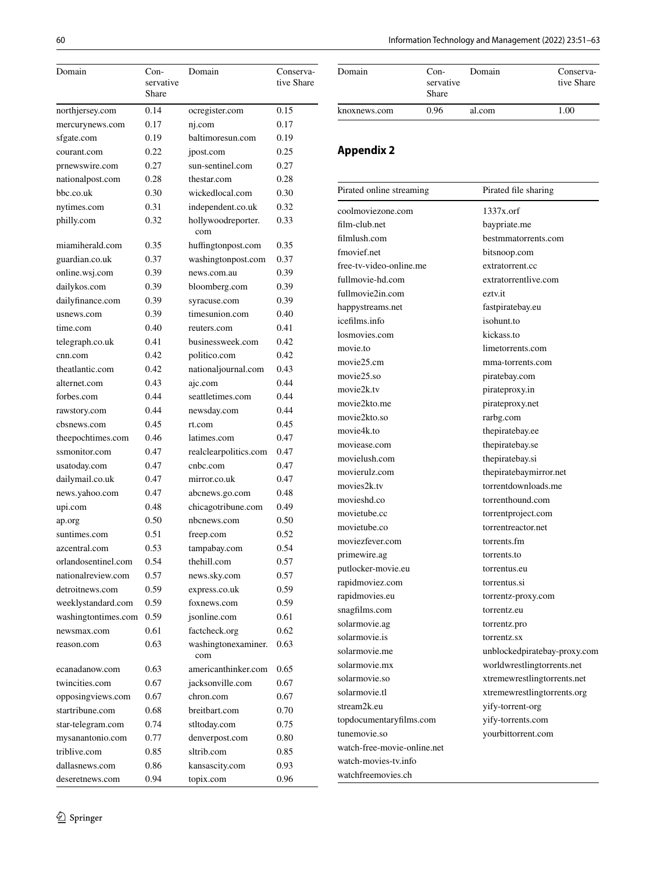| Domain              | Con-               | Domain                     | Conserva-  |
|---------------------|--------------------|----------------------------|------------|
|                     | servative<br>Share |                            | tive Share |
| northjersey.com     | 0.14               | ocregister.com             | 0.15       |
| mercurynews.com     | 0.17               | nj.com                     | 0.17       |
| sfgate.com          | 0.19               | baltimoresun.com           | 0.19       |
| courant.com         | 0.22               | jpost.com                  | 0.25       |
| prnewswire.com      | 0.27               | sun-sentinel.com           | 0.27       |
| nationalpost.com    | 0.28               | thestar.com                | 0.28       |
| bbc.co.uk           | 0.30               | wickedlocal.com            | 0.30       |
| nytimes.com         | 0.31               | independent.co.uk          | 0.32       |
| philly.com          | 0.32               | hollywoodreporter.<br>com  | 0.33       |
| miamiherald.com     | 0.35               | huffingtonpost.com         | 0.35       |
| guardian.co.uk      | 0.37               | washingtonpost.com         | 0.37       |
| online.wsj.com      | 0.39               | news.com.au                | 0.39       |
| dailykos.com        | 0.39               | bloomberg.com              | 0.39       |
| dailyfinance.com    | 0.39               | syracuse.com               | 0.39       |
| usnews.com          | 0.39               | timesunion.com             | 0.40       |
| time.com            | 0.40               | reuters.com                | 0.41       |
| telegraph.co.uk     | 0.41               | businessweek.com           | 0.42       |
| cnn.com             | 0.42               | politico.com               | 0.42       |
| theatlantic.com     | 0.42               | nationaljournal.com        | 0.43       |
| alternet.com        | 0.43               | ajc.com                    | 0.44       |
| forbes.com          | 0.44               | seattletimes.com           | 0.44       |
| rawstory.com        | 0.44               | newsday.com                | 0.44       |
| cbsnews.com         | 0.45               | rt.com                     | 0.45       |
| theepochtimes.com   | 0.46               | latimes.com                | 0.47       |
| ssmonitor.com       | 0.47               | realclearpolitics.com      | 0.47       |
| usatoday.com        | 0.47               | cnbc.com                   | 0.47       |
| dailymail.co.uk     | 0.47               | mirror.co.uk               | 0.47       |
| news.yahoo.com      | 0.47               | abcnews.go.com             | 0.48       |
| upi.com             | 0.48               | chicagotribune.com         | 0.49       |
| ap.org              | 0.50               | nbcnews.com                | 0.50       |
| suntimes.com        | 0.51               | freep.com                  | 0.52       |
| azcentral.com       | 0.53               | tampabay.com               | 0.54       |
| orlandosentinel.com | 0.54               | thehill.com                | 0.57       |
| nationalreview.com  | 0.57               | news.sky.com               | 0.57       |
| detroitnews.com     | 0.59               | express.co.uk              | 0.59       |
| weeklystandard.com  | 0.59               | foxnews.com                | 0.59       |
| washingtontimes.com | 0.59               | isonline.com               | 0.61       |
| newsmax.com         | 0.61               | factcheck.org              | 0.62       |
| reason.com          | 0.63               | washingtonexaminer.<br>com | 0.63       |
| ecanadanow.com      | 0.63               | americanthinker.com        | 0.65       |
| twincities.com      | 0.67               | jacksonville.com           | 0.67       |
| opposingviews.com   | 0.67               | chron.com                  | 0.67       |
| startribune.com     | 0.68               | breitbart.com              | 0.70       |
| star-telegram.com   | 0.74               | stltoday.com               | 0.75       |
| mysanantonio.com    | 0.77               | denverpost.com             | 0.80       |
| triblive.com        | 0.85               | sltrib.com                 | 0.85       |
| dallasnews.com      | 0.86               | kansascity.com             | 0.93       |
| deseretnews.com     | 0.94               | topix.com                  | 0.96       |

| Domain       | $Con-$<br>servative<br>Share |        | Conserva-<br>tive Share |  |
|--------------|------------------------------|--------|-------------------------|--|
| knoxnews.com | 0.96                         | al.com | 1.00                    |  |

# <span id="page-9-0"></span>**Appendix 2**

watchfreemovies.ch

| Pirated online streaming    | Pirated file sharing         |
|-----------------------------|------------------------------|
| coolmoviezone.com           | $1337x$ orf                  |
| film-club.net               | baypriate.me                 |
| filmlush.com                | bestmmatorrents.com          |
| fmovief.net                 | bitsnoop.com                 |
| free-tv-video-online.me     | extratorrent.cc              |
| fullmovie-hd.com            | extratorrentlive.com         |
| fullmovie2in.com            | eztv.it                      |
| happystreams.net            | fastpiratebay.eu             |
| icefilms.info               | isohunt.to                   |
| losmovies.com               | kickass.to                   |
| movie.to                    | limetorrents.com             |
| movie25.cm                  | mma-torrents.com             |
| movie25.so                  | piratebay.com                |
| movie2k.tv                  | pirateproxy.in               |
| movie2kto.me                | pirateproxy.net              |
| movie2kto.so                | rarbg.com                    |
| movie4k.to                  | thepiratebay.ee              |
| moviease.com                | thepiratebay.se              |
| movielush.com               | thepiratebay.si              |
| movierulz.com               | thepiratebaymirror.net       |
| movies2k.tv                 | torrentdownloads.me          |
| movieshd.co                 | torrenthound.com             |
| movietube.cc                | torrentproject.com           |
| movietube.co                | torrentreactor.net           |
| moviezfever.com             | torrents.fm                  |
| primewire.ag                | torrents.to                  |
| putlocker-movie.eu          | torrentus.eu                 |
| rapidmoviez.com             | torrentus.si                 |
| rapidmovies.eu              | torrentz-proxy.com           |
| snagfilms.com               | torrentz.eu                  |
| solarmovie.ag               | torrentz.pro                 |
| solarmovie.is               | torrentz.sx                  |
| solarmovie.me               | unblockedpiratebay-proxy.com |
| solarmovie.mx               | worldwrestlingtorrents.net   |
| solarmovie.so               | xtremewrestlingtorrents.net  |
| solarmovie.tl               | xtremewrestlingtorrents.org  |
| stream <sub>2k.eu</sub>     | yify-torrent-org             |
| topdocumentaryfilms.com     | yify-torrents.com            |
| tunemovie.so                | yourbittorrent.com           |
| watch-free-movie-online.net |                              |
| watch-movies-tv.info        |                              |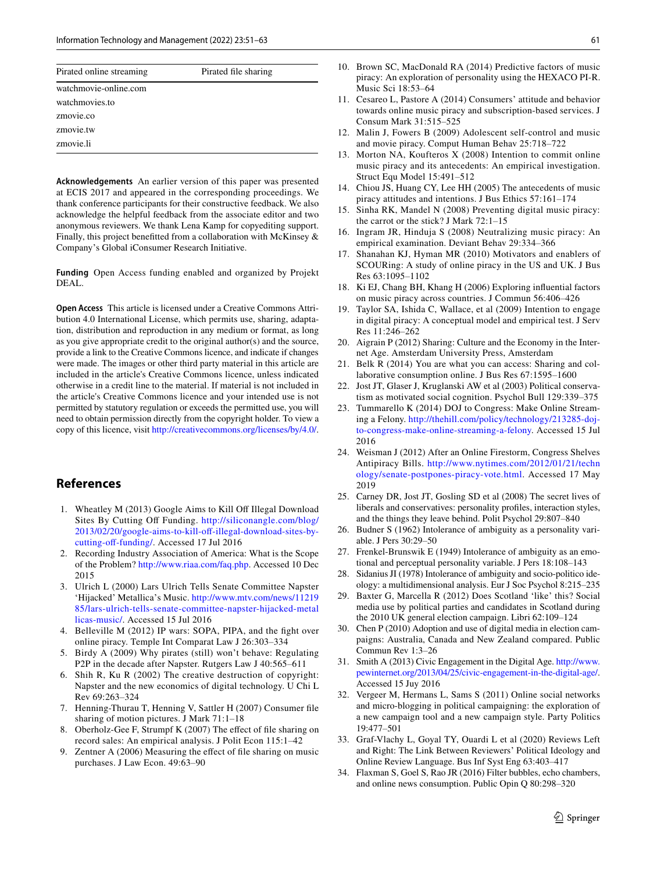| Pirated online streaming | Pirated file sharing |
|--------------------------|----------------------|
| watchmovie-online.com    |                      |
| watchmovies.to           |                      |
| zmovie.co                |                      |
| zmovie.tw                |                      |
| zmovie.li                |                      |

**Acknowledgements** An earlier version of this paper was presented at ECIS 2017 and appeared in the corresponding proceedings. We thank conference participants for their constructive feedback. We also acknowledge the helpful feedback from the associate editor and two anonymous reviewers. We thank Lena Kamp for copyediting support. Finally, this project beneftted from a collaboration with McKinsey & Company's Global iConsumer Research Initiative.

**Funding** Open Access funding enabled and organized by Projekt DEAL.

**Open Access** This article is licensed under a Creative Commons Attribution 4.0 International License, which permits use, sharing, adaptation, distribution and reproduction in any medium or format, as long as you give appropriate credit to the original author(s) and the source, provide a link to the Creative Commons licence, and indicate if changes were made. The images or other third party material in this article are included in the article's Creative Commons licence, unless indicated otherwise in a credit line to the material. If material is not included in the article's Creative Commons licence and your intended use is not permitted by statutory regulation or exceeds the permitted use, you will need to obtain permission directly from the copyright holder. To view a copy of this licence, visit <http://creativecommons.org/licenses/by/4.0/>.

#### **References**

- <span id="page-10-0"></span>1. Wheatley M (2013) Google Aims to Kill Off Illegal Download Sites By Cutting Of Funding. [http://siliconangle.com/blog/](http://siliconangle.com/blog/2013/02/20/google-aims-to-kill-off-illegal-download-sites-by-cutting-off-funding/) 2013/02/20/google-aims-to-kill-off-illegal-download-sites-bycutting-off-funding/. Accessed 17 Jul 2016
- <span id="page-10-1"></span>2. Recording Industry Association of America: What is the Scope of the Problem? [http://www.riaa.com/faq.php.](http://www.riaa.com/faq.php) Accessed 10 Dec 2015
- <span id="page-10-2"></span>3. Ulrich L (2000) Lars Ulrich Tells Senate Committee Napster 'Hijacked' Metallica's Music. [http://www.mtv.com/news/11219](http://www.mtv.com/news/1121985/lars-ulrich-tells-senate-committee-napster-hijacked-metallicas-music/) [85/lars-ulrich-tells-senate-committee-napster-hijacked-metal](http://www.mtv.com/news/1121985/lars-ulrich-tells-senate-committee-napster-hijacked-metallicas-music/) [licas-music/](http://www.mtv.com/news/1121985/lars-ulrich-tells-senate-committee-napster-hijacked-metallicas-music/). Accessed 15 Jul 2016
- <span id="page-10-3"></span>4. Belleville M (2012) IP wars: SOPA, PIPA, and the fght over online piracy. Temple Int Comparat Law J 26:303–334
- 5. Birdy A (2009) Why pirates (still) won't behave: Regulating P2P in the decade after Napster. Rutgers Law J 40:565–611
- <span id="page-10-4"></span>6. Shih R, Ku R (2002) The creative destruction of copyright: Napster and the new economics of digital technology. U Chi L Rev 69:263–324
- <span id="page-10-5"></span>7. Henning-Thurau T, Henning V, Sattler H (2007) Consumer fle sharing of motion pictures. J Mark 71:1–18
- 8. Oberholz-Gee F, Strumpf K (2007) The efect of fle sharing on record sales: An empirical analysis. J Polit Econ 115:1–42
- <span id="page-10-6"></span>9. Zentner A (2006) Measuring the efect of fle sharing on music purchases. J Law Econ. 49:63–90
- <span id="page-10-7"></span>10. Brown SC, MacDonald RA (2014) Predictive factors of music piracy: An exploration of personality using the HEXACO PI-R. Music Sci 18:53–64
- <span id="page-10-9"></span>11. Cesareo L, Pastore A (2014) Consumers' attitude and behavior towards online music piracy and subscription-based services. J Consum Mark 31:515–525
- <span id="page-10-14"></span>12. Malin J, Fowers B (2009) Adolescent self-control and music and movie piracy. Comput Human Behav 25:718–722
- <span id="page-10-8"></span>13. Morton NA, Koufteros X (2008) Intention to commit online music piracy and its antecedents: An empirical investigation. Struct Equ Model 15:491–512
- 14. Chiou JS, Huang CY, Lee HH (2005) The antecedents of music piracy attitudes and intentions. J Bus Ethics 57:161–174
- <span id="page-10-10"></span>15. Sinha RK, Mandel N (2008) Preventing digital music piracy: the carrot or the stick? J Mark 72:1–15
- <span id="page-10-11"></span>16. Ingram JR, Hinduja S (2008) Neutralizing music piracy: An empirical examination. Deviant Behav 29:334–366
- <span id="page-10-12"></span>17. Shanahan KJ, Hyman MR (2010) Motivators and enablers of SCOURing: A study of online piracy in the US and UK. J Bus Res 63:1095–1102
- <span id="page-10-13"></span>18. Ki EJ, Chang BH, Khang H (2006) Exploring infuential factors on music piracy across countries. J Commun 56:406–426
- <span id="page-10-15"></span>19. Taylor SA, Ishida C, Wallace, et al (2009) Intention to engage in digital piracy: A conceptual model and empirical test. J Serv Res 11:246–262
- <span id="page-10-16"></span>20. Aigrain P (2012) Sharing: Culture and the Economy in the Internet Age. Amsterdam University Press, Amsterdam
- <span id="page-10-17"></span>21. Belk R (2014) You are what you can access: Sharing and collaborative consumption online. J Bus Res 67:1595–1600
- <span id="page-10-18"></span>22. Jost JT, Glaser J, Kruglanski AW et al (2003) Political conservatism as motivated social cognition. Psychol Bull 129:339–375
- <span id="page-10-19"></span>23. Tummarello K (2014) DOJ to Congress: Make Online Streaming a Felony. [http://thehill.com/policy/technology/213285-doj](http://thehill.com/policy/technology/213285-doj-to-congress-make-online-streaming-a-felony)[to-congress-make-online-streaming-a-felony.](http://thehill.com/policy/technology/213285-doj-to-congress-make-online-streaming-a-felony) Accessed 15 Jul 2016
- <span id="page-10-20"></span>24. Weisman J (2012) After an Online Firestorm, Congress Shelves Antipiracy Bills. [http://www.nytimes.com/2012/01/21/techn](http://www.nytimes.com/2012/01/21/technology/senate-postpones-piracy-vote.html) [ology/senate-postpones-piracy-vote.html.](http://www.nytimes.com/2012/01/21/technology/senate-postpones-piracy-vote.html) Accessed 17 May 2019
- <span id="page-10-21"></span>25. Carney DR, Jost JT, Gosling SD et al (2008) The secret lives of liberals and conservatives: personality profles, interaction styles, and the things they leave behind. Polit Psychol 29:807–840
- <span id="page-10-22"></span>26. Budner S (1962) Intolerance of ambiguity as a personality variable. J Pers 30:29–50
- <span id="page-10-28"></span>Frenkel-Brunswik E (1949) Intolerance of ambiguity as an emotional and perceptual personality variable. J Pers 18:108–143
- <span id="page-10-23"></span>28. Sidanius JI (1978) Intolerance of ambiguity and socio-politico ideology: a multidimensional analysis. Eur J Soc Psychol 8:215–235
- <span id="page-10-24"></span>29. Baxter G, Marcella R (2012) Does Scotland 'like' this? Social media use by political parties and candidates in Scotland during the 2010 UK general election campaign. Libri 62:109–124
- <span id="page-10-29"></span>30. Chen P (2010) Adoption and use of digital media in election campaigns: Australia, Canada and New Zealand compared. Public Commun Rev 1:3–26
- 31. Smith A (2013) Civic Engagement in the Digital Age. [http://www.](http://www.pewinternet.org/2013/04/25/civic-engagement-in-the-digital-age/) [pewinternet.org/2013/04/25/civic-engagement-in-the-digital-age/](http://www.pewinternet.org/2013/04/25/civic-engagement-in-the-digital-age/). Accessed 15 Juy 2016
- <span id="page-10-25"></span>32. Vergeer M, Hermans L, Sams S (2011) Online social networks and micro-blogging in political campaigning: the exploration of a new campaign tool and a new campaign style. Party Politics 19:477–501
- <span id="page-10-26"></span>33. Graf-Vlachy L, Goyal TY, Ouardi L et al (2020) Reviews Left and Right: The Link Between Reviewers' Political Ideology and Online Review Language. Bus Inf Syst Eng 63:403–417
- <span id="page-10-27"></span>34. Flaxman S, Goel S, Rao JR (2016) Filter bubbles, echo chambers, and online news consumption. Public Opin Q 80:298–320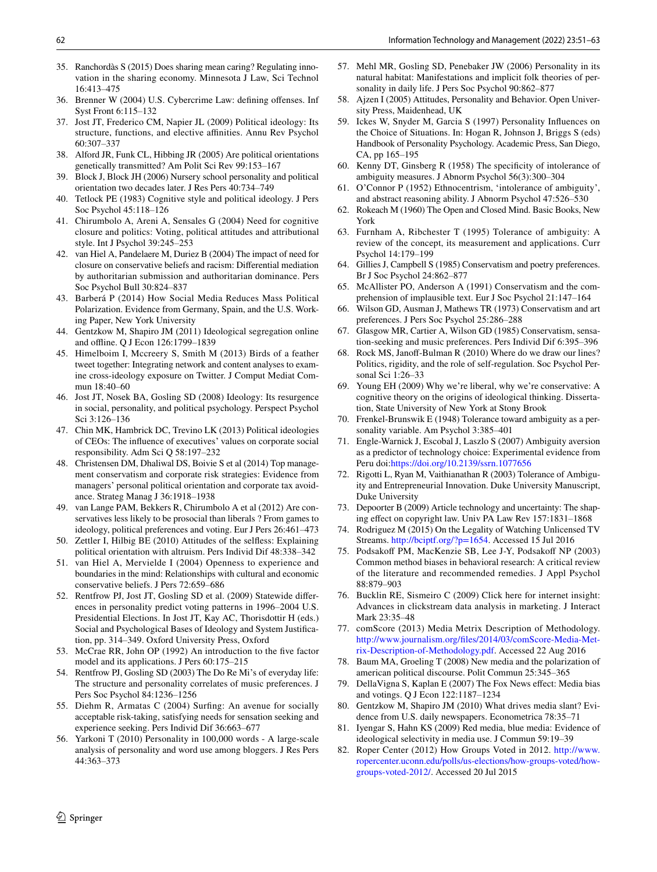- <span id="page-11-0"></span>35. Ranchordàs S (2015) Does sharing mean caring? Regulating innovation in the sharing economy. Minnesota J Law, Sci Technol 16:413–475
- <span id="page-11-1"></span>36. Brenner W (2004) U.S. Cybercrime Law: defning ofenses. Inf Syst Front 6:115–132
- <span id="page-11-2"></span>37. Jost JT, Frederico CM, Napier JL (2009) Political ideology: Its structure, functions, and elective afnities. Annu Rev Psychol 60:307–337
- <span id="page-11-3"></span>38. Alford JR, Funk CL, Hibbing JR (2005) Are political orientations genetically transmitted? Am Polit Sci Rev 99:153–167
- <span id="page-11-4"></span>39. Block J, Block JH (2006) Nursery school personality and political orientation two decades later. J Res Pers 40:734–749
- <span id="page-11-5"></span>40. Tetlock PE (1983) Cognitive style and political ideology. J Pers Soc Psychol 45:118–126
- <span id="page-11-6"></span>41. Chirumbolo A, Areni A, Sensales G (2004) Need for cognitive closure and politics: Voting, political attitudes and attributional style. Int J Psychol 39:245–253
- <span id="page-11-7"></span>42. van Hiel A, Pandelaere M, Duriez B (2004) The impact of need for closure on conservative beliefs and racism: Diferential mediation by authoritarian submission and authoritarian dominance. Pers Soc Psychol Bull 30:824–837
- <span id="page-11-8"></span>43. Barberá P (2014) How Social Media Reduces Mass Political Polarization. Evidence from Germany, Spain, and the U.S. Working Paper, New York University
- 44. Gentzkow M, Shapiro JM (2011) Ideological segregation online and ofine. Q J Econ 126:1799–1839
- <span id="page-11-9"></span>45. Himelboim I, Mccreery S, Smith M (2013) Birds of a feather tweet together: Integrating network and content analyses to examine cross-ideology exposure on Twitter. J Comput Mediat Commun 18:40–60
- <span id="page-11-10"></span>46. Jost JT, Nosek BA, Gosling SD (2008) Ideology: Its resurgence in social, personality, and political psychology. Perspect Psychol Sci 3:126–136
- <span id="page-11-11"></span>47. Chin MK, Hambrick DC, Trevino LK (2013) Political ideologies of CEOs: The infuence of executives' values on corporate social responsibility. Adm Sci Q 58:197–232
- <span id="page-11-12"></span>48. Christensen DM, Dhaliwal DS, Boivie S et al (2014) Top management conservatism and corporate risk strategies: Evidence from managers' personal political orientation and corporate tax avoidance. Strateg Manag J 36:1918–1938
- <span id="page-11-13"></span>49. van Lange PAM, Bekkers R, Chirumbolo A et al (2012) Are conservatives less likely to be prosocial than liberals ? From games to ideology, political preferences and voting. Eur J Pers 26:461–473
- <span id="page-11-14"></span>50. Zettler I, Hilbig BE (2010) Attitudes of the selfess: Explaining political orientation with altruism. Pers Individ Dif 48:338–342
- <span id="page-11-15"></span>51. van Hiel A, Mervielde I (2004) Openness to experience and boundaries in the mind: Relationships with cultural and economic conservative beliefs. J Pers 72:659–686
- <span id="page-11-16"></span>52. Rentfrow PJ, Jost JT, Gosling SD et al. (2009) Statewide diferences in personality predict voting patterns in 1996–2004 U.S. Presidential Elections. In Jost JT, Kay AC, Thorisdottir H (eds.) Social and Psychological Bases of Ideology and System Justifcation, pp. 314–349. Oxford University Press, Oxford
- <span id="page-11-17"></span>53. McCrae RR, John OP (1992) An introduction to the fve factor model and its applications. J Pers 60:175–215
- <span id="page-11-18"></span>54. Rentfrow PJ, Gosling SD (2003) The Do Re Mi's of everyday life: The structure and personality correlates of music preferences. J Pers Soc Psychol 84:1236–1256
- <span id="page-11-19"></span>55. Diehm R, Armatas C (2004) Surfng: An avenue for socially acceptable risk-taking, satisfying needs for sensation seeking and experience seeking. Pers Individ Dif 36:663–677
- <span id="page-11-20"></span>56. Yarkoni T (2010) Personality in 100,000 words - A large-scale analysis of personality and word use among bloggers. J Res Pers 44:363–373
- <span id="page-11-21"></span>57. Mehl MR, Gosling SD, Penebaker JW (2006) Personality in its natural habitat: Manifestations and implicit folk theories of personality in daily life. J Pers Soc Psychol 90:862–877
- <span id="page-11-22"></span>58. Ajzen I (2005) Attitudes, Personality and Behavior. Open University Press, Maidenhead, UK
- <span id="page-11-23"></span>59. Ickes W, Snyder M, Garcia S (1997) Personality Infuences on the Choice of Situations. In: Hogan R, Johnson J, Briggs S (eds) Handbook of Personality Psychology. Academic Press, San Diego, CA, pp 165–195
- <span id="page-11-24"></span>60. Kenny DT, Ginsberg R (1958) The specifcity of intolerance of ambiguity measures. J Abnorm Psychol 56(3):300–304
- 61. O'Connor P (1952) Ethnocentrism, 'intolerance of ambiguity', and abstract reasoning ability. J Abnorm Psychol 47:526–530
- <span id="page-11-25"></span>62. Rokeach M (1960) The Open and Closed Mind. Basic Books, New York
- <span id="page-11-26"></span>63. Furnham A, Ribchester T (1995) Tolerance of ambiguity: A review of the concept, its measurement and applications. Curr Psychol 14:179–199
- <span id="page-11-27"></span>64. Gillies J, Campbell S (1985) Conservatism and poetry preferences. Br J Soc Psychol 24:862–877
- <span id="page-11-28"></span>65. McAllister PO, Anderson A (1991) Conservatism and the comprehension of implausible text. Eur J Soc Psychol 21:147–164
- <span id="page-11-29"></span>66. Wilson GD, Ausman J, Mathews TR (1973) Conservatism and art preferences. J Pers Soc Psychol 25:286–288
- <span id="page-11-30"></span>67. Glasgow MR, Cartier A, Wilson GD (1985) Conservatism, sensation-seeking and music preferences. Pers Individ Dif 6:395–396
- <span id="page-11-31"></span>68. Rock MS, Janof-Bulman R (2010) Where do we draw our lines? Politics, rigidity, and the role of self-regulation. Soc Psychol Personal Sci 1:26–33
- <span id="page-11-32"></span>69. Young EH (2009) Why we're liberal, why we're conservative: A cognitive theory on the origins of ideological thinking. Dissertation, State University of New York at Stony Brook
- <span id="page-11-33"></span>70. Frenkel-Brunswik E (1948) Tolerance toward ambiguity as a personality variable. Am Psychol 3:385–401
- <span id="page-11-34"></span>71. Engle-Warnick J, Escobal J, Laszlo S (2007) Ambiguity aversion as a predictor of technology choice: Experimental evidence from Peru doi[:https://doi.org/10.2139/ssrn.1077656](https://doi.org/10.2139/ssrn.1077656)
- <span id="page-11-35"></span>72. Rigotti L, Ryan M, Vaithianathan R (2003) Tolerance of Ambiguity and Entrepreneurial Innovation. Duke University Manuscript, Duke University
- <span id="page-11-36"></span>73. Depoorter B (2009) Article technology and uncertainty: The shaping efect on copyright law. Univ PA Law Rev 157:1831–1868
- <span id="page-11-37"></span>74. Rodriguez M (2015) On the Legality of Watching Unlicensed TV Streams. [http://bciptf.org/?p=1654.](http://bciptf.org/?p=1654) Accessed 15 Jul 2016
- <span id="page-11-38"></span>75. Podsakoff PM, MacKenzie SB, Lee J-Y, Podsakoff NP (2003) Common method biases in behavioral research: A critical review of the literature and recommended remedies. J Appl Psychol 88:879–903
- <span id="page-11-39"></span>76. Bucklin RE, Sismeiro C (2009) Click here for internet insight: Advances in clickstream data analysis in marketing. J Interact Mark 23:35–48
- <span id="page-11-40"></span>77. comScore (2013) Media Metrix Description of Methodology. [http://www.journalism.org/fles/2014/03/comScore-Media-Met](http://www.journalism.org/files/2014/03/comScore-Media-Metrix-Description-of-Methodology.pdf)[rix-Description-of-Methodology.pdf](http://www.journalism.org/files/2014/03/comScore-Media-Metrix-Description-of-Methodology.pdf). Accessed 22 Aug 2016
- <span id="page-11-41"></span>78. Baum MA, Groeling T (2008) New media and the polarization of american political discourse. Polit Commun 25:345–365
- 79. DellaVigna S, Kaplan E (2007) The Fox News efect: Media bias and votings. Q J Econ 122:1187–1234
- 80. Gentzkow M, Shapiro JM (2010) What drives media slant? Evidence from U.S. daily newspapers. Econometrica 78:35–71
- <span id="page-11-42"></span>81. Iyengar S, Hahn KS (2009) Red media, blue media: Evidence of ideological selectivity in media use. J Commun 59:19–39
- <span id="page-11-43"></span>82. Roper Center (2012) How Groups Voted in 2012. [http://www.](http://www.ropercenter.uconn.edu/polls/us-elections/how-groups-voted/how-groups-voted-2012/) [ropercenter.uconn.edu/polls/us-elections/how-groups-voted/how](http://www.ropercenter.uconn.edu/polls/us-elections/how-groups-voted/how-groups-voted-2012/)[groups-voted-2012/.](http://www.ropercenter.uconn.edu/polls/us-elections/how-groups-voted/how-groups-voted-2012/) Accessed 20 Jul 2015